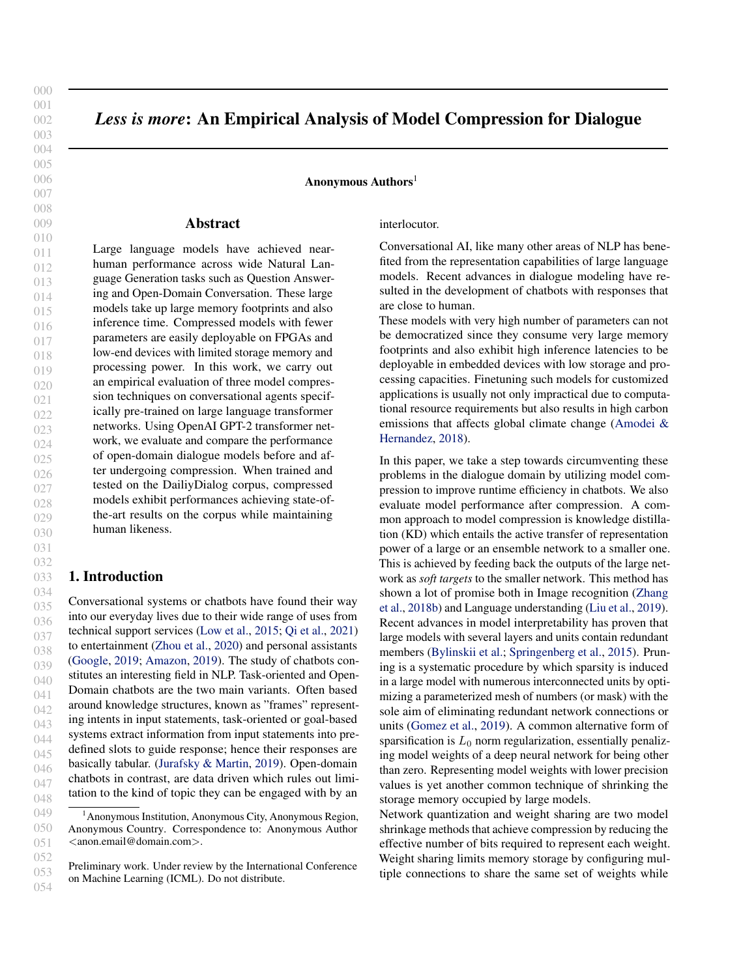# 005

006

- 007 008
- 009
- 010

031 032 033

052 053 054

# *Less is more*: An Empirical Analysis of Model Compression for Dialogue

Anonymous Authors<sup>1</sup>

# Abstract

011 012 013 014 015 016 017 018 019 020 021 022 023 024 025 026 027 028 029 030 Large language models have achieved nearhuman performance across wide Natural Language Generation tasks such as Question Answering and Open-Domain Conversation. These large models take up large memory footprints and also inference time. Compressed models with fewer parameters are easily deployable on FPGAs and low-end devices with limited storage memory and processing power. In this work, we carry out an empirical evaluation of three model compression techniques on conversational agents specifically pre-trained on large language transformer networks. Using OpenAI GPT-2 transformer network, we evaluate and compare the performance of open-domain dialogue models before and after undergoing compression. When trained and tested on the DailiyDialog corpus, compressed models exhibit performances achieving state-ofthe-art results on the corpus while maintaining human likeness.

# 1. Introduction

034 035 036 037 038 039 040 041 042 043 044 045 046 047 048 Conversational systems or chatbots have found their way into our everyday lives due to their wide range of uses from technical support services [\(Low et al.,](#page-5-0) [2015;](#page-5-0) [Qi et al.,](#page-5-0) [2021\)](#page-5-0) to entertainment [\(Zhou et al.,](#page-6-0) [2020\)](#page-6-0) and personal assistants [\(Google,](#page-4-0) [2019;](#page-4-0) [Amazon,](#page-3-0) [2019\)](#page-3-0). The study of chatbots constitutes an interesting field in NLP. Task-oriented and Open-Domain chatbots are the two main variants. Often based around knowledge structures, known as "frames" representing intents in input statements, task-oriented or goal-based systems extract information from input statements into predefined slots to guide response; hence their responses are basically tabular. [\(Jurafsky & Martin,](#page-4-0) [2019\)](#page-4-0). Open-domain chatbots in contrast, are data driven which rules out limitation to the kind of topic they can be engaged with by an

interlocutor.

Conversational AI, like many other areas of NLP has benefited from the representation capabilities of large language models. Recent advances in dialogue modeling have resulted in the development of chatbots with responses that are close to human.

These models with very high number of parameters can not be democratized since they consume very large memory footprints and also exhibit high inference latencies to be deployable in embedded devices with low storage and processing capacities. Finetuning such models for customized applications is usually not only impractical due to computational resource requirements but also results in high carbon emissions that affects global climate change [\(Amodei &](#page-3-0) [Hernandez,](#page-3-0) [2018\)](#page-3-0).

In this paper, we take a step towards circumventing these problems in the dialogue domain by utilizing model compression to improve runtime efficiency in chatbots. We also evaluate model performance after compression. A common approach to model compression is knowledge distillation (KD) which entails the active transfer of representation power of a large or an ensemble network to a smaller one. This is achieved by feeding back the outputs of the large network as *soft targets* to the smaller network. This method has shown a lot of promise both in Image recognition [\(Zhang](#page-6-0) [et al.,](#page-6-0) [2018b\)](#page-6-0) and Language understanding [\(Liu et al.,](#page-5-0) [2019\)](#page-5-0). Recent advances in model interpretability has proven that large models with several layers and units contain redundant members [\(Bylinskii et al.;](#page-4-0) [Springenberg et al.,](#page-6-0) [2015\)](#page-6-0). Pruning is a systematic procedure by which sparsity is induced in a large model with numerous interconnected units by optimizing a parameterized mesh of numbers (or mask) with the sole aim of eliminating redundant network connections or units [\(Gomez et al.,](#page-4-0) [2019\)](#page-4-0). A common alternative form of sparsification is  $L_0$  norm regularization, essentially penalizing model weights of a deep neural network for being other than zero. Representing model weights with lower precision values is yet another common technique of shrinking the storage memory occupied by large models.

Network quantization and weight sharing are two model shrinkage methods that achieve compression by reducing the effective number of bits required to represent each weight. Weight sharing limits memory storage by configuring multiple connections to share the same set of weights while

<sup>049</sup> 050 051 <sup>1</sup> Anonymous Institution, Anonymous City, Anonymous Region, Anonymous Country. Correspondence to: Anonymous Author <anon.email@domain.com>.

Preliminary work. Under review by the International Conference on Machine Learning (ICML). Do not distribute.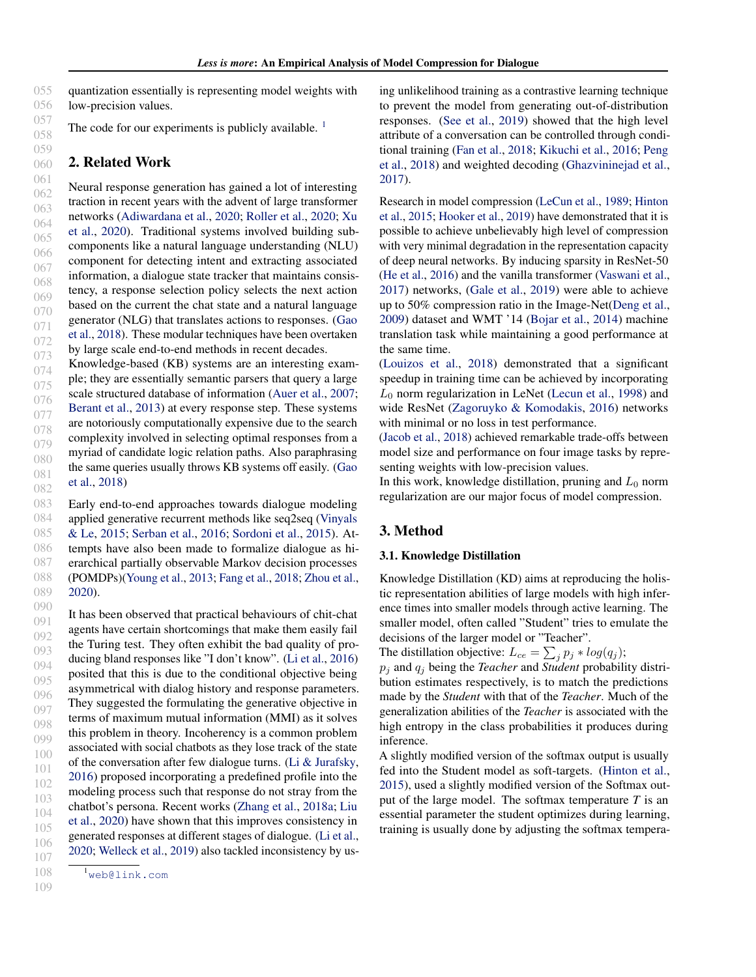quantization essentially is representing model weights with low-precision values.

The code for our experiments is publicly available.  $<sup>1</sup>$ </sup>

#### 060 2. Related Work

061 062 063 064 065 066 067 068 069 070 071 072 073 Neural response generation has gained a lot of interesting traction in recent years with the advent of large transformer networks [\(Adiwardana et al.,](#page-3-0) [2020;](#page-3-0) [Roller et al.,](#page-5-0) [2020;](#page-5-0) [Xu](#page-6-0) [et al.,](#page-6-0) [2020\)](#page-6-0). Traditional systems involved building subcomponents like a natural language understanding (NLU) component for detecting intent and extracting associated information, a dialogue state tracker that maintains consistency, a response selection policy selects the next action based on the current the chat state and a natural language generator (NLG) that translates actions to responses. [\(Gao](#page-4-0) [et al.,](#page-4-0) [2018\)](#page-4-0). These modular techniques have been overtaken by large scale end-to-end methods in recent decades.

074 075 076 077 078 079 080 081 082 Knowledge-based (KB) systems are an interesting example; they are essentially semantic parsers that query a large scale structured database of information [\(Auer et al.,](#page-3-0) [2007;](#page-3-0) [Berant et al.,](#page-3-0) [2013\)](#page-3-0) at every response step. These systems are notoriously computationally expensive due to the search complexity involved in selecting optimal responses from a myriad of candidate logic relation paths. Also paraphrasing the same queries usually throws KB systems off easily. [\(Gao](#page-4-0) [et al.,](#page-4-0) [2018\)](#page-4-0)

083 084 085 086 087 088 089 Early end-to-end approaches towards dialogue modeling applied generative recurrent methods like seq2seq [\(Vinyals](#page-6-0) [& Le,](#page-6-0) [2015;](#page-6-0) [Serban et al.,](#page-5-0) [2016;](#page-5-0) [Sordoni et al.,](#page-6-0) [2015\)](#page-6-0). Attempts have also been made to formalize dialogue as hierarchical partially observable Markov decision processes (POMDPs)[\(Young et al.,](#page-6-0) [2013;](#page-6-0) [Fang et al.,](#page-4-0) [2018;](#page-4-0) [Zhou et al.,](#page-6-0) [2020\)](#page-6-0).

090 091 092 093 094 095 096 097 098 099 100 101 102 103 104 105 106 107 It has been observed that practical behaviours of chit-chat agents have certain shortcomings that make them easily fail the Turing test. They often exhibit the bad quality of producing bland responses like "I don't know". [\(Li et al.,](#page-5-0) [2016\)](#page-5-0) posited that this is due to the conditional objective being asymmetrical with dialog history and response parameters. They suggested the formulating the generative objective in terms of maximum mutual information (MMI) as it solves this problem in theory. Incoherency is a common problem associated with social chatbots as they lose track of the state of the conversation after few dialogue turns. [\(Li & Jurafsky,](#page-5-0) [2016\)](#page-5-0) proposed incorporating a predefined profile into the modeling process such that response do not stray from the chatbot's persona. Recent works [\(Zhang et al.,](#page-6-0) [2018a;](#page-6-0) [Liu](#page-5-0) [et al.,](#page-5-0) [2020\)](#page-5-0) have shown that this improves consistency in generated responses at different stages of dialogue. [\(Li et al.,](#page-5-0) [2020;](#page-5-0) [Welleck et al.,](#page-6-0) [2019\)](#page-6-0) also tackled inconsistency by us-

108 109 ing unlikelihood training as a contrastive learning technique to prevent the model from generating out-of-distribution responses. [\(See et al.,](#page-5-0) [2019\)](#page-5-0) showed that the high level attribute of a conversation can be controlled through conditional training [\(Fan et al.,](#page-4-0) [2018;](#page-4-0) [Kikuchi et al.,](#page-4-0) [2016;](#page-4-0) [Peng](#page-5-0) [et al.,](#page-5-0) [2018\)](#page-5-0) and weighted decoding [\(Ghazvininejad et al.,](#page-4-0) [2017\)](#page-4-0).

Research in model compression [\(LeCun et al.,](#page-5-0) [1989;](#page-5-0) [Hinton](#page-4-0) [et al.,](#page-4-0) [2015;](#page-4-0) [Hooker et al.,](#page-4-0) [2019\)](#page-4-0) have demonstrated that it is possible to achieve unbelievably high level of compression with very minimal degradation in the representation capacity of deep neural networks. By inducing sparsity in ResNet-50 [\(He et al.,](#page-4-0) [2016\)](#page-4-0) and the vanilla transformer [\(Vaswani et al.,](#page-6-0) [2017\)](#page-6-0) networks, [\(Gale et al.,](#page-4-0) [2019\)](#page-4-0) were able to achieve up to 50% compression ratio in the Image-Net[\(Deng et al.,](#page-4-0) [2009\)](#page-4-0) dataset and WMT '14 [\(Bojar et al.,](#page-4-0) [2014\)](#page-4-0) machine translation task while maintaining a good performance at the same time.

[\(Louizos et al.,](#page-5-0) [2018\)](#page-5-0) demonstrated that a significant speedup in training time can be achieved by incorporating  $L_0$  norm regularization in LeNet [\(Lecun et al.,](#page-5-0) [1998\)](#page-5-0) and wide ResNet [\(Zagoruyko & Komodakis,](#page-6-0) [2016\)](#page-6-0) networks with minimal or no loss in test performance.

[\(Jacob et al.,](#page-4-0) [2018\)](#page-4-0) achieved remarkable trade-offs between model size and performance on four image tasks by representing weights with low-precision values.

In this work, knowledge distillation, pruning and  $L_0$  norm regularization are our major focus of model compression.

# 3. Method

#### 3.1. Knowledge Distillation

Knowledge Distillation (KD) aims at reproducing the holistic representation abilities of large models with high inference times into smaller models through active learning. The smaller model, often called "Student" tries to emulate the decisions of the larger model or "Teacher".

The distillation objective:  $L_{ce} = \sum_j p_j * log(q_j);$ 

 $p_i$  and  $q_i$  being the *Teacher* and *Student* probability distribution estimates respectively, is to match the predictions made by the *Student* with that of the *Teacher*. Much of the generalization abilities of the *Teacher* is associated with the high entropy in the class probabilities it produces during inference.

A slightly modified version of the softmax output is usually fed into the Student model as soft-targets. [\(Hinton et al.,](#page-4-0) [2015\)](#page-4-0), used a slightly modified version of the Softmax output of the large model. The softmax temperature *T* is an essential parameter the student optimizes during learning, training is usually done by adjusting the softmax tempera-

<sup>1</sup><web@link.com>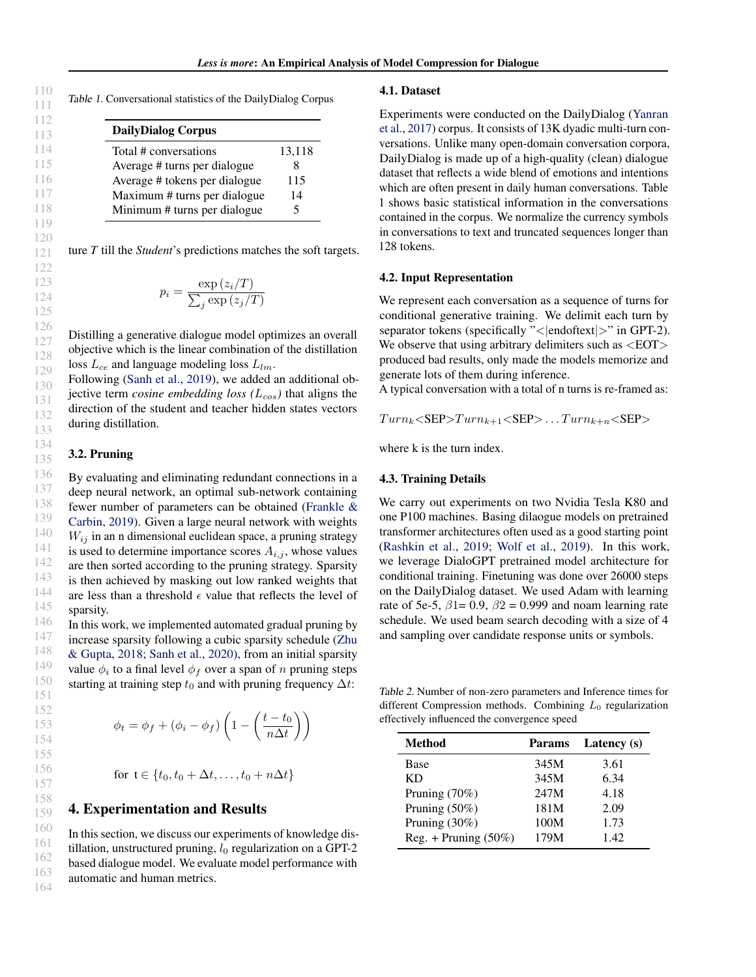| <b>DailyDialog Corpus</b>     |        |  |  |  |
|-------------------------------|--------|--|--|--|
| Total # conversations         | 13,118 |  |  |  |
| Average # turns per dialogue  | x      |  |  |  |
| Average # tokens per dialogue | 115    |  |  |  |
| Maximum # turns per dialogue  | 14     |  |  |  |
| Minimum # turns per dialogue  | 5      |  |  |  |

ture *T* till the *Student*'s predictions matches the soft targets.

$$
p_i = \frac{\exp(z_i/T)}{\sum_j \exp(z_j/T)}
$$

Distilling a generative dialogue model optimizes an overall objective which is the linear combination of the distillation loss  $L_{ce}$  and language modeling loss  $L_{lm}$ .

Following [\(Sanh et al.,](#page-5-0) [2019\)](#page-5-0), we added an additional objective term *cosine embedding loss*  $(L_{cos})$  that aligns the direction of the student and teacher hidden states vectors during distillation.

#### 3.2. Pruning

137 138 139 140 141 142 143 144 145 By evaluating and eliminating redundant connections in a deep neural network, an optimal sub-network containing fewer number of parameters can be obtained [\(Frankle &](#page-4-0) [Carbin,](#page-4-0) [2019\)](#page-4-0). Given a large neural network with weights  $W_{ij}$  in an n dimensional euclidean space, a pruning strategy is used to determine importance scores  $A_{i,j}$ , whose values are then sorted according to the pruning strategy. Sparsity is then achieved by masking out low ranked weights that are less than a threshold  $\epsilon$  value that reflects the level of sparsity.

147 148 149 150 151 In this work, we implemented automated gradual pruning by increase sparsity following a cubic sparsity schedule [\(Zhu](#page-6-0) [& Gupta,](#page-6-0) [2018;](#page-6-0) [Sanh et al.,](#page-5-0) [2020\)](#page-5-0), from an initial sparsity value  $\phi_i$  to a final level  $\phi_f$  over a span of n pruning steps starting at training step  $t_0$  and with pruning frequency  $\Delta t$ :

$$
\phi_t = \phi_f + (\phi_i - \phi_f) \left( 1 - \left( \frac{t - t_0}{n \Delta t} \right) \right)
$$

for  $t \in \{t_0, t_0 + \Delta t, \ldots, t_0 + n\Delta t\}$ 

# 4. Experimentation and Results

160 161 162 163 164 In this section, we discuss our experiments of knowledge distillation, unstructured pruning,  $l_0$  regularization on a GPT-2 based dialogue model. We evaluate model performance with automatic and human metrics.

#### 4.1. Dataset

Experiments were conducted on the DailyDialog [\(Yanran](#page-6-0) [et al.,](#page-6-0) [2017\)](#page-6-0) corpus. It consists of 13K dyadic multi-turn conversations. Unlike many open-domain conversation corpora, DailyDialog is made up of a high-quality (clean) dialogue dataset that reflects a wide blend of emotions and intentions which are often present in daily human conversations. Table 1 shows basic statistical information in the conversations contained in the corpus. We normalize the currency symbols in conversations to text and truncated sequences longer than 128 tokens.

#### 4.2. Input Representation

We represent each conversation as a sequence of turns for conditional generative training. We delimit each turn by separator tokens (specifically "<|endoftext|>" in GPT-2). We observe that using arbitrary delimiters such as  $\langle EOT \rangle$ produced bad results, only made the models memorize and generate lots of them during inference.

A typical conversation with a total of n turns is re-framed as:

 $Turn_k < \text{SEP} > Turn_{k+1} < \text{SEP} > \dots Turn_{k+n} < \text{SEP} >$ 

where k is the turn index.

#### 4.3. Training Details

We carry out experiments on two Nvidia Tesla K80 and one P100 machines. Basing dilaogue models on pretrained transformer architectures often used as a good starting point [\(Rashkin et al.,](#page-5-0) [2019;](#page-5-0) [Wolf et al.,](#page-6-0) [2019\)](#page-6-0). In this work, we leverage DialoGPT pretrained model architecture for conditional training. Finetuning was done over 26000 steps on the DailyDialog dataset. We used Adam with learning rate of 5e-5,  $\beta$ 1= 0.9,  $\beta$ 2 = 0.999 and noam learning rate schedule. We used beam search decoding with a size of 4 and sampling over candidate response units or symbols.

Table 2. Number of non-zero parameters and Inference times for different Compression methods. Combining  $L_0$  regularization effectively influenced the convergence speed

| <b>Method</b>           | <b>Params</b> | Latency (s) |  |
|-------------------------|---------------|-------------|--|
| Base                    | 345M          | 3.61        |  |
| KD                      | 345M          | 6.34        |  |
| Pruning (70%)           | 247M          | 4.18        |  |
| Pruning $(50\%)$        | 181M          | 2.09        |  |
| Pruning (30%)           | 100M          | 1.73        |  |
| Reg. + Pruning $(50\%)$ | 179M          | 1.42        |  |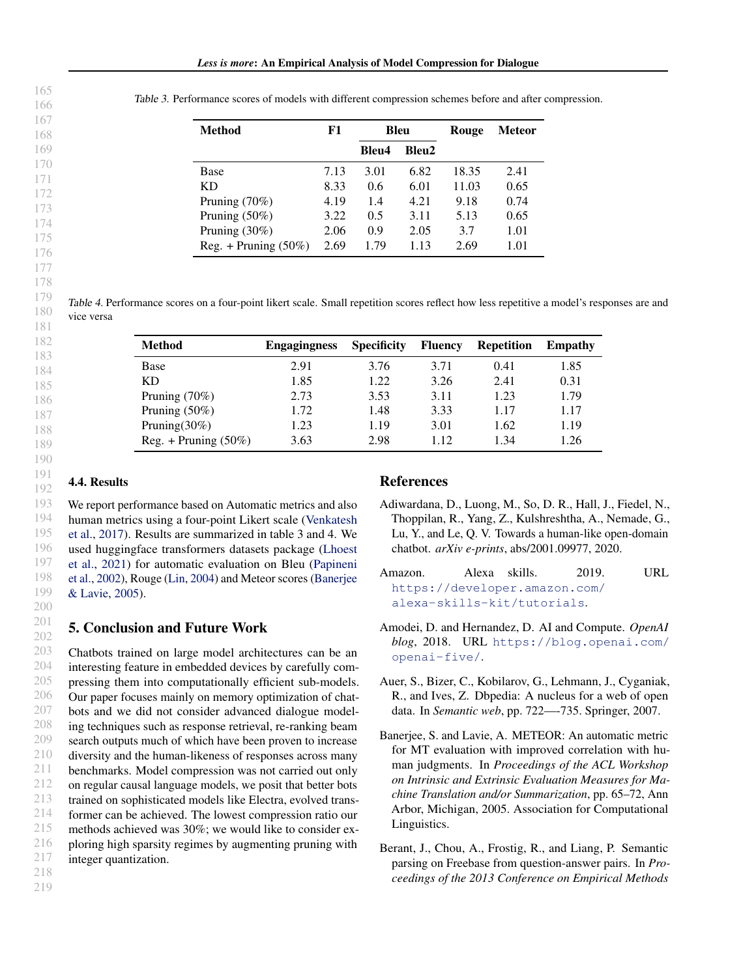Table 3. Performance scores of models with different compression schemes before and after compression.

| <b>Method</b>          | F1   | Bleu  |       | Rouge | Meteor |
|------------------------|------|-------|-------|-------|--------|
|                        |      | Bleu4 | Bleu2 |       |        |
| Base                   | 7.13 | 3.01  | 6.82  | 18.35 | 2.41   |
| KD                     | 8.33 | 0.6   | 6.01  | 11.03 | 0.65   |
| Pruning $(70%)$        | 4.19 | 1.4   | 4.21  | 9.18  | 0.74   |
| Pruning $(50\%)$       | 3.22 | 0.5   | 3.11  | 5.13  | 0.65   |
| Pruning $(30\%)$       | 2.06 | 0.9   | 2.05  | 3.7   | 1.01   |
| $Reg. + Pruning (50%)$ | 2.69 | 1.79  | 1.13  | 2.69  | 1.01   |

Table 4. Performance scores on a four-point likert scale. Small repetition scores reflect how less repetitive a model's responses are and vice versa

| <b>Method</b>          | <b>Engagingness</b> | <b>Specificity</b> | <b>Fluency</b> | <b>Repetition</b> | Empathy |
|------------------------|---------------------|--------------------|----------------|-------------------|---------|
| <b>Base</b>            | 2.91                | 3.76               | 3.71           | 0.41              | 1.85    |
| KD                     | 1.85                | 1.22               | 3.26           | 2.41              | 0.31    |
| Pruning $(70\%)$       | 2.73                | 3.53               | 3.11           | 1.23              | 1.79    |
| Pruning $(50\%)$       | 1.72                | 1.48               | 3.33           | 1.17              | 1.17    |
| Pruning $(30\%)$       | 1.23                | 1.19               | 3.01           | 1.62              | 1.19    |
| $Reg. + Pruning (50%)$ | 3.63                | 2.98               | 1 1 2          | 1.34              | 1.26    |

#### 4.4. Results

193 194 195 196 197 198 199 200 We report performance based on Automatic metrics and also human metrics using a four-point Likert scale [\(Venkatesh](#page-6-0) [et al.,](#page-6-0) [2017\)](#page-6-0). Results are summarized in table 3 and 4. We used huggingface transformers datasets package [\(Lhoest](#page-5-0) [et al.,](#page-5-0) [2021\)](#page-5-0) for automatic evaluation on Bleu [\(Papineni](#page-5-0) [et al.,](#page-5-0) [2002\)](#page-5-0), Rouge [\(Lin,](#page-5-0) [2004\)](#page-5-0) and Meteor scores (Banerjee & Lavie, 2005).

# 5. Conclusion and Future Work

203 204 205 206 207 208 209 210 211 212 213 214 215 216 217 Chatbots trained on large model architectures can be an interesting feature in embedded devices by carefully compressing them into computationally efficient sub-models. Our paper focuses mainly on memory optimization of chatbots and we did not consider advanced dialogue modeling techniques such as response retrieval, re-ranking beam search outputs much of which have been proven to increase diversity and the human-likeness of responses across many benchmarks. Model compression was not carried out only on regular causal language models, we posit that better bots trained on sophisticated models like Electra, evolved transformer can be achieved. The lowest compression ratio our methods achieved was 30%; we would like to consider exploring high sparsity regimes by augmenting pruning with integer quantization.

# References

- Adiwardana, D., Luong, M., So, D. R., Hall, J., Fiedel, N., Thoppilan, R., Yang, Z., Kulshreshtha, A., Nemade, G., Lu, Y., and Le, Q. V. Towards a human-like open-domain chatbot. *arXiv e-prints*, abs/2001.09977, 2020.
- Amazon. Alexa skills. 2019. URL [https://developer.amazon.com/](https://developer.amazon.com/alexa-skills-kit/tutorials) [alexa-skills-kit/tutorials](https://developer.amazon.com/alexa-skills-kit/tutorials).
- Amodei, D. and Hernandez, D. AI and Compute. *OpenAI blog*, 2018. URL [https://blog.openai.com/](https://blog.openai.com/openai-five/) [openai-five/](https://blog.openai.com/openai-five/).
- Auer, S., Bizer, C., Kobilarov, G., Lehmann, J., Cyganiak, R., and Ives, Z. Dbpedia: A nucleus for a web of open data. In *Semantic web*, pp. 722—-735. Springer, 2007.
- Banerjee, S. and Lavie, A. METEOR: An automatic metric for MT evaluation with improved correlation with human judgments. In *Proceedings of the ACL Workshop on Intrinsic and Extrinsic Evaluation Measures for Machine Translation and/or Summarization*, pp. 65–72, Ann Arbor, Michigan, 2005. Association for Computational Linguistics.
- Berant, J., Chou, A., Frostig, R., and Liang, P. Semantic parsing on Freebase from question-answer pairs. In *Proceedings of the 2013 Conference on Empirical Methods*

<span id="page-3-0"></span>165 166

201 202

218 219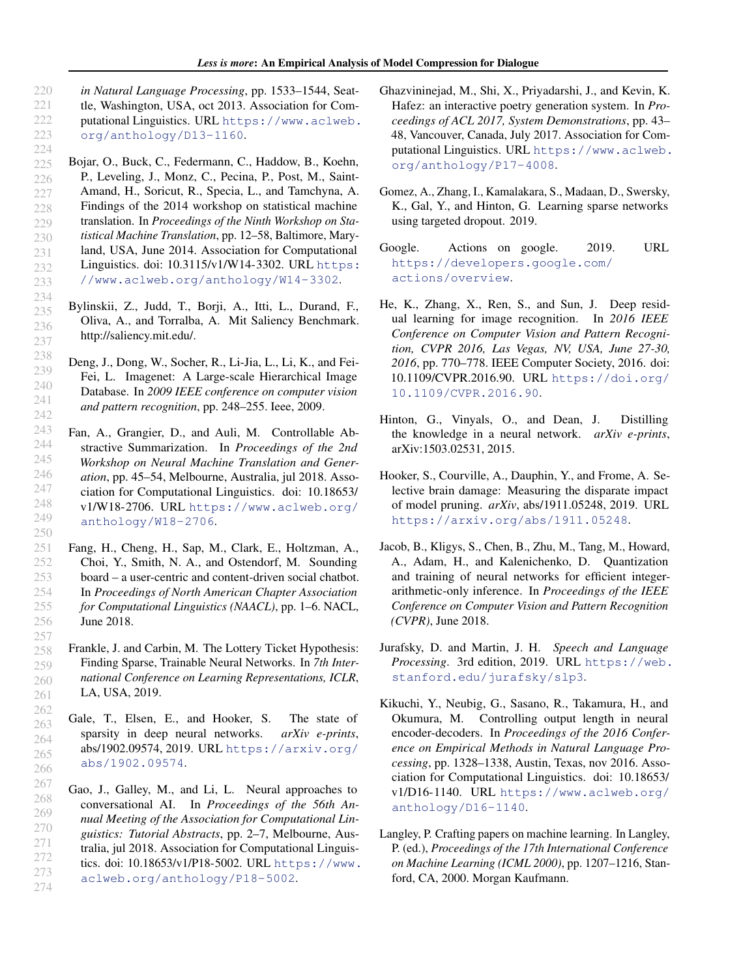- <span id="page-4-0"></span>220 221 222 223 224 *in Natural Language Processing*, pp. 1533–1544, Seattle, Washington, USA, oct 2013. Association for Computational Linguistics. URL [https://www.aclweb.](https://www.aclweb.org/anthology/D13-1160) [org/anthology/D13-1160](https://www.aclweb.org/anthology/D13-1160).
- 225 226 227 228 229 230 231 232 233 Bojar, O., Buck, C., Federmann, C., Haddow, B., Koehn, P., Leveling, J., Monz, C., Pecina, P., Post, M., Saint-Amand, H., Soricut, R., Specia, L., and Tamchyna, A. Findings of the 2014 workshop on statistical machine translation. In *Proceedings of the Ninth Workshop on Statistical Machine Translation*, pp. 12–58, Baltimore, Maryland, USA, June 2014. Association for Computational Linguistics. doi: 10.3115/v1/W14-3302. URL [https:](https://www.aclweb.org/anthology/W14-3302) [//www.aclweb.org/anthology/W14-3302](https://www.aclweb.org/anthology/W14-3302).
- 234 235 236 237 Bylinskii, Z., Judd, T., Borji, A., Itti, L., Durand, F., Oliva, A., and Torralba, A. Mit Saliency Benchmark. http://saliency.mit.edu/.
- 238 239 240 241 242 Deng, J., Dong, W., Socher, R., Li-Jia, L., Li, K., and Fei-Fei, L. Imagenet: A Large-scale Hierarchical Image Database. In *2009 IEEE conference on computer vision and pattern recognition*, pp. 248–255. Ieee, 2009.
- 243 244 245 246 247 248 249 250 Fan, A., Grangier, D., and Auli, M. Controllable Abstractive Summarization. In *Proceedings of the 2nd Workshop on Neural Machine Translation and Generation*, pp. 45–54, Melbourne, Australia, jul 2018. Association for Computational Linguistics. doi: 10.18653/ v1/W18-2706. URL [https://www.aclweb.org/](https://www.aclweb.org/anthology/W18-2706) [anthology/W18-2706](https://www.aclweb.org/anthology/W18-2706).
- 251 252 253 254 255 256 Fang, H., Cheng, H., Sap, M., Clark, E., Holtzman, A., Choi, Y., Smith, N. A., and Ostendorf, M. Sounding board – a user-centric and content-driven social chatbot. In *Proceedings of North American Chapter Association for Computational Linguistics (NAACL)*, pp. 1–6. NACL, June 2018.
- 258 259 260 261 Frankle, J. and Carbin, M. The Lottery Ticket Hypothesis: Finding Sparse, Trainable Neural Networks. In *7th International Conference on Learning Representations, ICLR*, LA, USA, 2019.

257

- 262 263 264 265 266 Gale, T., Elsen, E., and Hooker, S. The state of sparsity in deep neural networks. *arXiv e-prints*, abs/1902.09574, 2019. URL [https://arxiv.org/](https://arxiv.org/abs/1902.09574) [abs/1902.09574](https://arxiv.org/abs/1902.09574).
- 267 268 269 270 271 272 273 274 Gao, J., Galley, M., and Li, L. Neural approaches to conversational AI. In *Proceedings of the 56th Annual Meeting of the Association for Computational Linguistics: Tutorial Abstracts*, pp. 2–7, Melbourne, Australia, jul 2018. Association for Computational Linguistics. doi: 10.18653/v1/P18-5002. URL [https://www.](https://www.aclweb.org/anthology/P18-5002) [aclweb.org/anthology/P18-5002](https://www.aclweb.org/anthology/P18-5002).
- Ghazvininejad, M., Shi, X., Priyadarshi, J., and Kevin, K. Hafez: an interactive poetry generation system. In *Proceedings of ACL 2017, System Demonstrations*, pp. 43– 48, Vancouver, Canada, July 2017. Association for Computational Linguistics. URL [https://www.aclweb.](https://www.aclweb.org/anthology/P17-4008) [org/anthology/P17-4008](https://www.aclweb.org/anthology/P17-4008).
- Gomez, A., Zhang, I., Kamalakara, S., Madaan, D., Swersky, K., Gal, Y., and Hinton, G. Learning sparse networks using targeted dropout. 2019.
- Google. Actions on google. 2019. URL [https://developers.google.com/](https://developers.google.com/actions/overview) [actions/overview](https://developers.google.com/actions/overview).
- He, K., Zhang, X., Ren, S., and Sun, J. Deep residual learning for image recognition. In *2016 IEEE Conference on Computer Vision and Pattern Recognition, CVPR 2016, Las Vegas, NV, USA, June 27-30, 2016*, pp. 770–778. IEEE Computer Society, 2016. doi: 10.1109/CVPR.2016.90. URL [https://doi.org/](https://doi.org/10.1109/CVPR.2016.90) [10.1109/CVPR.2016.90](https://doi.org/10.1109/CVPR.2016.90).
- Hinton, G., Vinyals, O., and Dean, J. Distilling the knowledge in a neural network. *arXiv e-prints*, arXiv:1503.02531, 2015.
- Hooker, S., Courville, A., Dauphin, Y., and Frome, A. Selective brain damage: Measuring the disparate impact of model pruning. *arXiv*, abs/1911.05248, 2019. URL <https://arxiv.org/abs/1911.05248>.
- Jacob, B., Kligys, S., Chen, B., Zhu, M., Tang, M., Howard, A., Adam, H., and Kalenichenko, D. Quantization and training of neural networks for efficient integerarithmetic-only inference. In *Proceedings of the IEEE Conference on Computer Vision and Pattern Recognition (CVPR)*, June 2018.
- Jurafsky, D. and Martin, J. H. *Speech and Language Processing*. 3rd edition, 2019. URL [https://web.](https://web.stanford.edu/ jurafsky/slp3) [stanford.edu/jurafsky/slp3](https://web.stanford.edu/ jurafsky/slp3).
- Kikuchi, Y., Neubig, G., Sasano, R., Takamura, H., and Okumura, M. Controlling output length in neural encoder-decoders. In *Proceedings of the 2016 Conference on Empirical Methods in Natural Language Processing*, pp. 1328–1338, Austin, Texas, nov 2016. Association for Computational Linguistics. doi: 10.18653/ v1/D16-1140. URL [https://www.aclweb.org/](https://www.aclweb.org/anthology/D16-1140) [anthology/D16-1140](https://www.aclweb.org/anthology/D16-1140).
- Langley, P. Crafting papers on machine learning. In Langley, P. (ed.), *Proceedings of the 17th International Conference on Machine Learning (ICML 2000)*, pp. 1207–1216, Stanford, CA, 2000. Morgan Kaufmann.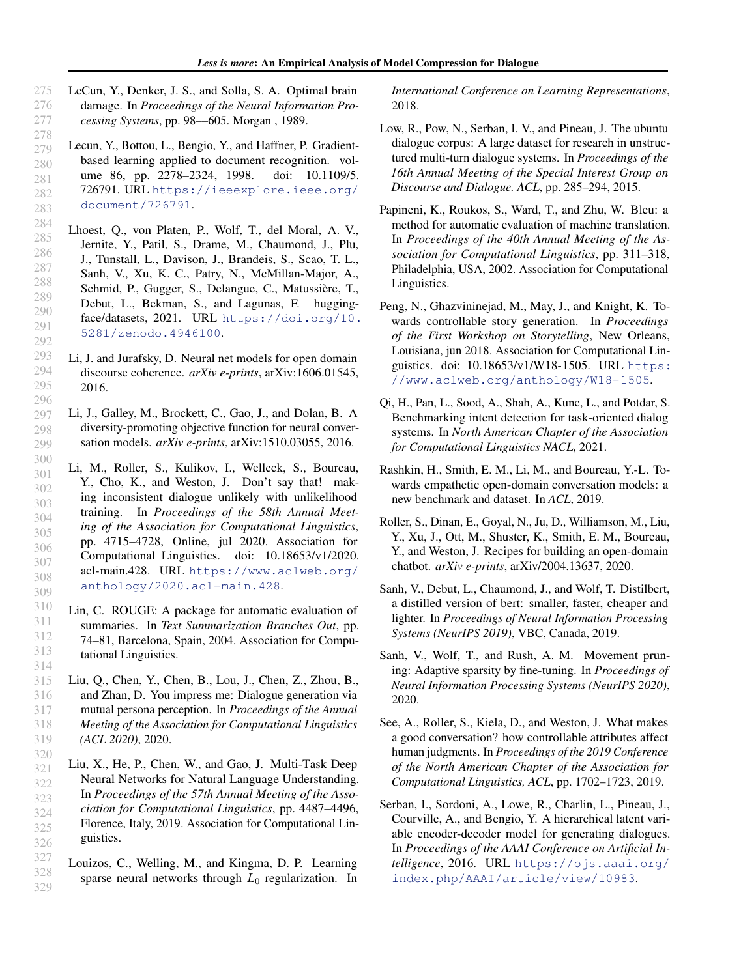- <span id="page-5-0"></span>275 276 277 LeCun, Y., Denker, J. S., and Solla, S. A. Optimal brain damage. In *Proceedings of the Neural Information Processing Systems*, pp. 98––605. Morgan , 1989.
- 278 279 280 281 282 283 Lecun, Y., Bottou, L., Bengio, Y., and Haffner, P. Gradientbased learning applied to document recognition. volume 86, pp. 2278–2324, 1998. doi: 10.1109/5. 726791. URL [https://ieeexplore.ieee.org/](https://ieeexplore.ieee.org/document/726791) [document/726791](https://ieeexplore.ieee.org/document/726791).
- 284 285 286 287 288 289 290 291 292 Lhoest, Q., von Platen, P., Wolf, T., del Moral, A. V., Jernite, Y., Patil, S., Drame, M., Chaumond, J., Plu, J., Tunstall, L., Davison, J., Brandeis, S., Scao, T. L., Sanh, V., Xu, K. C., Patry, N., McMillan-Major, A., Schmid, P., Gugger, S., Delangue, C., Matussière, T., Debut, L., Bekman, S., and Lagunas, F. huggingface/datasets, 2021. URL [https://doi.org/10.](https://doi.org/10.5281/zenodo.4946100) [5281/zenodo.4946100](https://doi.org/10.5281/zenodo.4946100).
- 293 294 295 296 Li, J. and Jurafsky, D. Neural net models for open domain discourse coherence. *arXiv e-prints*, arXiv:1606.01545, 2016.
- 297 298 299 Li, J., Galley, M., Brockett, C., Gao, J., and Dolan, B. A diversity-promoting objective function for neural conversation models. *arXiv e-prints*, arXiv:1510.03055, 2016.
- 300 301 302 303 304 305 306 307 308 309 Li, M., Roller, S., Kulikov, I., Welleck, S., Boureau, Y., Cho, K., and Weston, J. Don't say that! making inconsistent dialogue unlikely with unlikelihood training. In *Proceedings of the 58th Annual Meeting of the Association for Computational Linguistics*, pp. 4715–4728, Online, jul 2020. Association for Computational Linguistics. doi: 10.18653/v1/2020. acl-main.428. URL [https://www.aclweb.org/](https://www.aclweb.org/anthology/2020.acl-main.428) [anthology/2020.acl-main.428](https://www.aclweb.org/anthology/2020.acl-main.428).
- 310 311 312 313 314 Lin, C. ROUGE: A package for automatic evaluation of summaries. In *Text Summarization Branches Out*, pp. 74–81, Barcelona, Spain, 2004. Association for Computational Linguistics.
- 315 316 317 318 319 Liu, Q., Chen, Y., Chen, B., Lou, J., Chen, Z., Zhou, B., and Zhan, D. You impress me: Dialogue generation via mutual persona perception. In *Proceedings of the Annual Meeting of the Association for Computational Linguistics (ACL 2020)*, 2020.
- 320 321 322 323 324 325 326 Liu, X., He, P., Chen, W., and Gao, J. Multi-Task Deep Neural Networks for Natural Language Understanding. In *Proceedings of the 57th Annual Meeting of the Association for Computational Linguistics*, pp. 4487–4496, Florence, Italy, 2019. Association for Computational Linguistics.
- 327 328 329 Louizos, C., Welling, M., and Kingma, D. P. Learning sparse neural networks through  $L_0$  regularization. In

*International Conference on Learning Representations*, 2018.

- Low, R., Pow, N., Serban, I. V., and Pineau, J. The ubuntu dialogue corpus: A large dataset for research in unstructured multi-turn dialogue systems. In *Proceedings of the 16th Annual Meeting of the Special Interest Group on Discourse and Dialogue. ACL*, pp. 285–294, 2015.
- Papineni, K., Roukos, S., Ward, T., and Zhu, W. Bleu: a method for automatic evaluation of machine translation. In *Proceedings of the 40th Annual Meeting of the Association for Computational Linguistics*, pp. 311–318, Philadelphia, USA, 2002. Association for Computational Linguistics.
- Peng, N., Ghazvininejad, M., May, J., and Knight, K. Towards controllable story generation. In *Proceedings of the First Workshop on Storytelling*, New Orleans, Louisiana, jun 2018. Association for Computational Linguistics. doi: 10.18653/v1/W18-1505. URL [https:](https://www.aclweb.org/anthology/W18-1505) [//www.aclweb.org/anthology/W18-1505](https://www.aclweb.org/anthology/W18-1505).
- Qi, H., Pan, L., Sood, A., Shah, A., Kunc, L., and Potdar, S. Benchmarking intent detection for task-oriented dialog systems. In *North American Chapter of the Association for Computational Linguistics NACL*, 2021.
- Rashkin, H., Smith, E. M., Li, M., and Boureau, Y.-L. Towards empathetic open-domain conversation models: a new benchmark and dataset. In *ACL*, 2019.
- Roller, S., Dinan, E., Goyal, N., Ju, D., Williamson, M., Liu, Y., Xu, J., Ott, M., Shuster, K., Smith, E. M., Boureau, Y., and Weston, J. Recipes for building an open-domain chatbot. *arXiv e-prints*, arXiv/2004.13637, 2020.
- Sanh, V., Debut, L., Chaumond, J., and Wolf, T. Distilbert, a distilled version of bert: smaller, faster, cheaper and lighter. In *Proceedings of Neural Information Processing Systems (NeurIPS 2019)*, VBC, Canada, 2019.
- Sanh, V., Wolf, T., and Rush, A. M. Movement pruning: Adaptive sparsity by fine-tuning. In *Proceedings of Neural Information Processing Systems (NeurIPS 2020)*, 2020.
- See, A., Roller, S., Kiela, D., and Weston, J. What makes a good conversation? how controllable attributes affect human judgments. In *Proceedings of the 2019 Conference of the North American Chapter of the Association for Computational Linguistics, ACL*, pp. 1702–1723, 2019.
- Serban, I., Sordoni, A., Lowe, R., Charlin, L., Pineau, J., Courville, A., and Bengio, Y. A hierarchical latent variable encoder-decoder model for generating dialogues. In *Proceedings of the AAAI Conference on Artificial Intelligence*, 2016. URL [https://ojs.aaai.org/](https://ojs.aaai.org/index.php/AAAI/article/view/10983) [index.php/AAAI/article/view/10983](https://ojs.aaai.org/index.php/AAAI/article/view/10983).